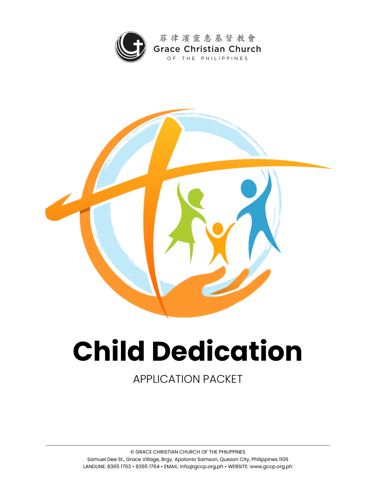



# **Child Dedication**

APPLICATION PACKET

© GRACE CHRISTIAN CHURCH OF THE PHILIPPINES Samuel Dee St., Grace Village, Brgy. Apolonio Samson, Quezon City, Philippines 1106 LANDLINE: 8365 1763 • 8365 1764 • EMAIL: info@gccp.org.ph • WEBSITE: www.gccp.org.ph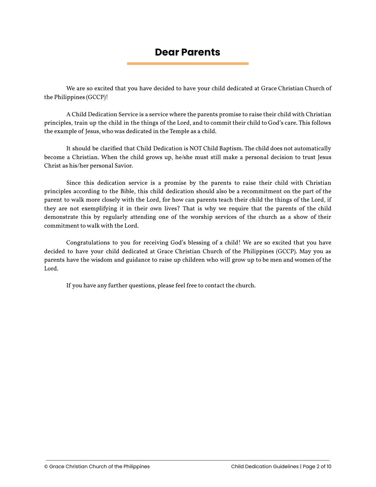### **Dear Parents**

We are so excited that you have decided to have your child dedicated at Grace Christian Church of the Philippines (GCCP)!

A Child Dedication Service is a service where the parents promise to raise their child with Christian principles, train up the child in the things of the Lord, and to commit their child to God's care. This follows the example of Jesus, who was dedicated in the Temple as a child.

It should be clarified that Child Dedication is NOT Child Baptism. The child does not automatically become a Christian. When the child grows up, he/she must still make a personal decision to trust Jesus Christ as his/her personal Savior.

Since this dedication service is a promise by the parents to raise their child with Christian principles according to the Bible, this child dedication should also be a recommitment on the part of the parent to walk more closely with the Lord, for how can parents teach their child the things of the Lord, if they are not exemplifying it in their own lives? That is why we require that the parents of the child demonstrate this by regularly attending one of the worship services of the church as a show of their commitment to walk with the Lord.

Congratulations to you for receiving God's blessing of a child! We are so excited that you have decided to have your child dedicated at Grace Christian Church of the Philippines (GCCP). May you as parents have the wisdom and guidance to raise up children who will grow up to be men and women of the Lord.

If you have any further questions, please feel free to contact the church.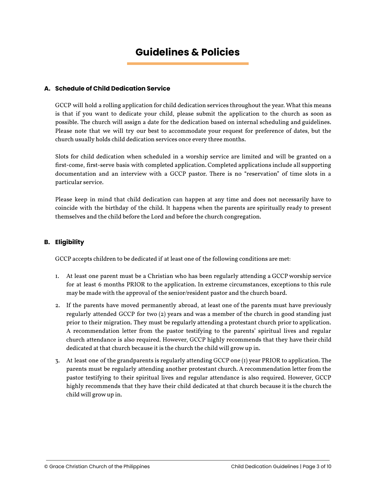# **Guidelines & Policies**

#### **A. Schedule of Child Dedication Service**

GCCP will hold a rolling application for child dedication services throughout the year. What this means is that if you want to dedicate your child, please submit the application to the church as soon as possible. The church will assign a date for the dedication based on internal scheduling and guidelines. Please note that we will try our best to accommodate your request for preference of dates, but the church usually holds child dedication services once every three months.

Slots for child dedication when scheduled in a worship service are limited and will be granted on a first-come, first-serve basis with completed application. Completed applications include all supporting documentation and an interview with a GCCP pastor. There is no "reservation" of time slots in a particular service.

Please keep in mind that child dedication can happen at any time and does not necessarily have to coincide with the birthday of the child. It happens when the parents are spiritually ready to present themselves and the child before the Lord and before the church congregation.

#### **B. Eligibility**

GCCP accepts children to be dedicated if at least one of the following conditions are met:

- 1. At least one parent must be a Christian who has been regularly attending a GCCP worship service for at least 6 months PRIOR to the application. In extreme circumstances, exceptions to this rule may be made with the approval of the senior/resident pastor and the church board.
- 2. If the parents have moved permanently abroad, at least one of the parents must have previously regularly attended GCCP for two (2) years and was a member of the church in good standing just prior to their migration. They must be regularly attending a protestant church prior to application. A recommendation letter from the pastor testifying to the parents' spiritual lives and regular church attendance is also required. However, GCCP highly recommends that they have their child dedicated at that church because it is the church the child will grow up in.
- 3. At least one of the grandparents is regularly attending GCCP one (1) year PRIOR to application. The parents must be regularly attending another protestant church. A recommendation letter from the pastor testifying to their spiritual lives and regular attendance is also required. However, GCCP highly recommends that they have their child dedicated at that church because it is the church the child will grow up in.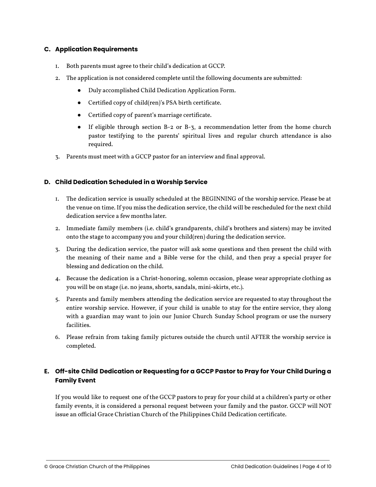#### **C. Application Requirements**

- 1. Both parents must agree to their child's dedication at GCCP.
- 2. The application is not considered complete until the following documents are submitted:
	- Duly accomplished Child Dedication Application Form.
	- Certified copy of child(ren)'s PSA birth certificate.
	- Certified copy of parent's marriage certificate.
	- If eligible through section B-2 or B-3, a recommendation letter from the home church pastor testifying to the parents' spiritual lives and regular church attendance is also required.
- 3. Parents must meet with a GCCP pastor for an interview and final approval.

#### **D. Child Dedication Scheduled in a Worship Service**

- 1. The dedication service is usually scheduled at the BEGINNING of the worship service. Please be at the venue on time. If you miss the dedication service, the child will be rescheduled for the next child dedication service a few months later.
- 2. Immediate family members (i.e. child's grandparents, child's brothers and sisters) may be invited onto the stage to accompany you and your child(ren) during the dedication service.
- 3. During the dedication service, the pastor will ask some questions and then present the child with the meaning of their name and a Bible verse for the child, and then pray a special prayer for blessing and dedication on the child.
- 4. Because the dedication is a Christ-honoring, solemn occasion, please wear appropriate clothing as you will be on stage (i.e. no jeans, shorts, sandals, mini-skirts, etc.).
- 5. Parents and family members attending the dedication service are requested to stay throughout the entire worship service. However, if your child is unable to stay for the entire service, they along with a guardian may want to join our Junior Church Sunday School program or use the nursery facilities.
- 6. Please refrain from taking family pictures outside the church until AFTER the worship service is completed.

#### **E. Off-site Child Dedication or Requesting for a GCCP Pastor to Pray for Your Child During a Family Event**

If you would like to request one of the GCCP pastors to pray for your child at a children's party or other family events, it is considered a personal request between your family and the pastor. GCCP will NOT issue an official Grace Christian Church of the Philippines Child Dedication certificate.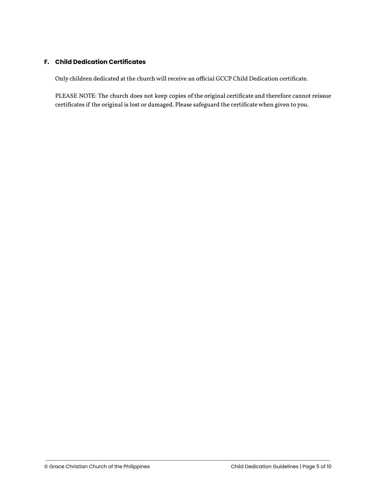#### **F. Child Dedication Certificates**

Only children dedicated at the church will receive an official GCCP Child Dedication certificate.

PLEASE NOTE: The church does not keep copies of the original certificate and therefore cannot reissue certificates if the original is lost or damaged. Please safeguard the certificate when given to you.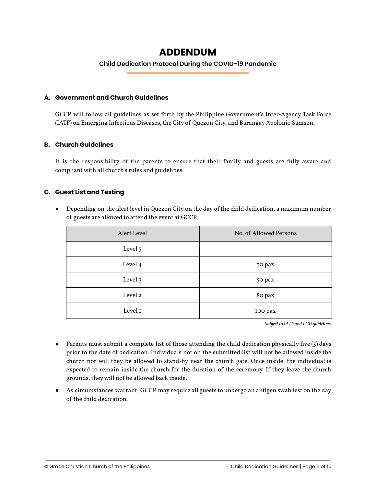## **ADDENDUM**

#### **Child Dedication Protocol During the COVID-19 Pandemic**

#### **A. Government and Church Guidelines**

GCCP will follow all guidelines as set forth by the Philippine Government's Inter-Agency Task Force (IATF) on Emerging Infectious Diseases, the City of Quezon City, and Barangay Apolonio Samson.

#### **B. Church Guidelines**

It is the responsibility of the parents to ensure that their family and guests are fully aware and compliant with all church's rules and guidelines.

#### **C. Guest List and Testing**

● Depending on the alert level in Quezon City on the day of the child dedication, a maximum number of guests are allowed to attend the event at GCCP.

| Alert Level | No. of Allowed Persons |
|-------------|------------------------|
| Level 5     |                        |
| Level 4     | 30 pax                 |
| Level 3     | 50 pax                 |
| Level 2     | 80 pax                 |
| Level I     | 100 pax                |

*Subject to IATF and LGU guidelines*

- Parents must submit a complete list of those attending the child dedication physically five (5) days prior to the date of dedication. Individuals not on the submitted list will not be allowed inside the church nor will they be allowed to stand-by near the church gate. Once inside, the individual is expected to remain inside the church for the duration of the ceremony. If they leave the church grounds, theywill not be allowed back inside.
- As circumstances warrant, GCCP may require all guests to undergo an antigen swab test on the day of the child dedication.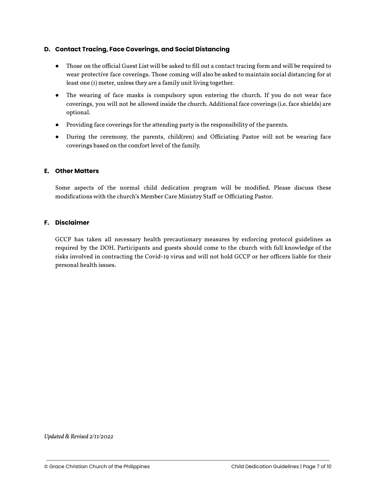#### **D. Contact Tracing, Face Coverings, and Social Distancing**

- Those on the official Guest List will be asked to fill out a contact tracing form and will be required to wear protective face coverings. Those coming will also be asked to maintain social distancing for at least one (1) meter, unless they are a family unit living together.
- The wearing of face masks is compulsory upon entering the church. If you do not wear face coverings, you will not be allowed inside the church. Additional face coverings (i.e. face shields) are optional.
- Providing face coverings for the attending party is the responsibility of the parents.
- During the ceremony, the parents, child(ren) and Officiating Pastor will not be wearing face coverings based on the comfort level of the family.

#### **E. Other Matters**

Some aspects of the normal child dedication program will be modified. Please discuss these modifications with the church's Member Care Ministry Staff or Officiating Pastor.

#### **F. Disclaimer**

GCCP has taken all necessary health precautionary measures by enforcing protocol guidelines as required by the DOH. Participants and guests should come to the church with full knowledge of the risks involved in contracting the Covid-19 virus and will not hold GCCP or her officers liable for their personal health issues.

*Updated & Revised 2/11/2022*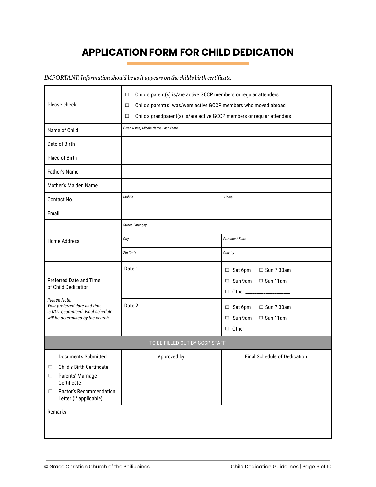# **APPLICATION FORM FOR CHILD DEDICATION**

*IMPORTANT: Information should be asit appears on thechild's birth certificate.*

| Please check:                                                                                                                                                                        | Child's parent(s) is/are active GCCP members or regular attenders<br>□<br>Child's parent(s) was/were active GCCP members who moved abroad<br>$\Box$<br>Child's grandparent(s) is/are active GCCP members or regular attenders<br>□ |                                                                                                         |
|--------------------------------------------------------------------------------------------------------------------------------------------------------------------------------------|------------------------------------------------------------------------------------------------------------------------------------------------------------------------------------------------------------------------------------|---------------------------------------------------------------------------------------------------------|
| Name of Child                                                                                                                                                                        | Given Name, Middle Name, Last Name                                                                                                                                                                                                 |                                                                                                         |
| Date of Birth                                                                                                                                                                        |                                                                                                                                                                                                                                    |                                                                                                         |
| Place of Birth                                                                                                                                                                       |                                                                                                                                                                                                                                    |                                                                                                         |
| Father's Name                                                                                                                                                                        |                                                                                                                                                                                                                                    |                                                                                                         |
| Mother's Maiden Name                                                                                                                                                                 |                                                                                                                                                                                                                                    |                                                                                                         |
| Contact No.                                                                                                                                                                          | Mobile                                                                                                                                                                                                                             | Home                                                                                                    |
| Email                                                                                                                                                                                |                                                                                                                                                                                                                                    |                                                                                                         |
|                                                                                                                                                                                      | Street, Barangay                                                                                                                                                                                                                   |                                                                                                         |
| <b>Home Address</b>                                                                                                                                                                  | City                                                                                                                                                                                                                               | Province / State                                                                                        |
|                                                                                                                                                                                      | Zip Code                                                                                                                                                                                                                           | Country                                                                                                 |
| <b>Preferred Date and Time</b><br>of Child Dedication                                                                                                                                | Date 1                                                                                                                                                                                                                             | $\Box$ Sun 7:30am<br>$\Box$ Sat 6pm<br>$\Box$ Sun 9am $\Box$ Sun 11am<br>D Other ______________________ |
| Please Note:<br>Your preferred date and time<br>is NOT guaranteed. Final schedule<br>will be determined by the church.                                                               | Date 2                                                                                                                                                                                                                             | $\Box$ Sun 7:30am<br>$\Box$ Sat 6pm<br>$\Box$ Sun 9am $\Box$ Sun 11am<br>□ Other _____________________  |
| TO BE FILLED OUT BY GCCP STAFF                                                                                                                                                       |                                                                                                                                                                                                                                    |                                                                                                         |
| <b>Documents Submitted</b><br>Child's Birth Certificate<br>$\Box$<br>Parents' Marriage<br>$\Box$<br>Certificate<br>Pastor's Recommendation<br>□<br>Letter (if applicable)<br>Remarks | Approved by                                                                                                                                                                                                                        | <b>Final Schedule of Dedication</b>                                                                     |